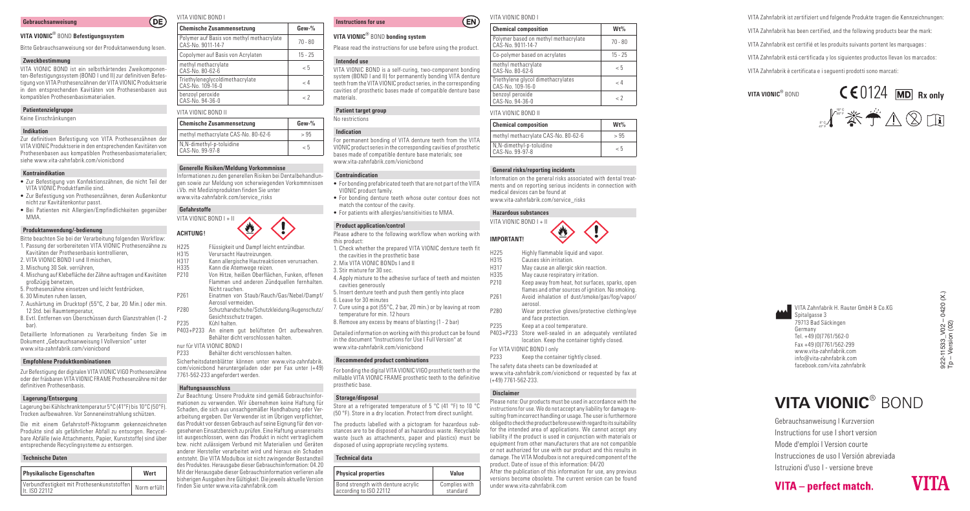#### **Gebrauchsanweisung**

# **VITA VIONIC** ® BOND **Befestigungssystem**

Bitte Gebrauchsanweisung vor der Produktanwendung lesen.

## **Zweckbestimmung**

VITA VIONIC BOND ist ein selbsthärtendes Zweikomponen ten-Befestigungssystem (BOND I und II) zur definitiven Befes tigung von VITA Prothesenzähnen der VITA VIONIC Produktserie in den entsprechenden Kavitäten von Prothesenbasen aus kompatiblen Prothesenbasismaterialien.

# **Patientenzielgruppe**

Keine Einschränkungen

## **Indikation**

Zur definitiven Befestigung von VITA Prothesenzähnen der VITA VIONIC Produktserie in den entsprechenden Kavitäten von Prothesenbasen aus kompatiblen Prothesenbasismaterialien; siehe www.vita-zahnfabrik.com/vionicbond

## **Kontraindikation**

- Zur Befestigung von Konfektionszähnen, die nicht Teil der VITA VIONIC Produktfamilie sind.
- Zur Befestigung von Prothesenzähnen, deren Außenkontur nicht zur Kavitätenkontur passt.
- Bei Patienten mit Allergien/Empfindlichkeiten gegenüber MMA.

# **Produktanwendung/-bedienung**

Bitte beachten Sie bei der Verarbeitung folgenden Workflow: 1. Passung der vorbereiteten VITA VIONIC Prothesenzähne zu

- Kavitäten der Prothesenbasis kontrollieren,
- 2. VITA VIONIC BOND I und II mischen,
- 3. Mischung 30 Sek. verrühren,
- 4. Mischung auf Klebefläche der Zähne auftragen und Kavitäten großzügig benetzen,
- 5. Prothesenzähne einsetzen und leicht festdrücken,
- 6. 30 Minuten ruhen lassen,
- 7. Aushärtung im Drucktopf (55°C, 2 bar, 20 Min.) oder min.
- 12 Std. bei Raumtemperatur,
- 8. Evtl. Entfernen von Überschüssen durch Glanzstrahlen (1 2 bar).

Detaillierte Informationen zu Verarbeitung finden Sie im Dokument "Gebrauchsanweisung I Vollversion" unter www.vita-zahnfabrik.com/vionicbond

# **Empfohlene Produktkombinationen**

Zur Befestigung der digitalen VITA VIONIC VIGO Prothesenzähne oder der fräsbaren VITA VIONIC FRAME Prothesenzähne mit der definitiven Prothesenbasis.

## **Lagerung/Entsorgung**

Lagerung bei Kühlschranktemperatur 5°C (41°F) bis 10°C (50°F). Trocken aufbewahren. Vor Sonneneinstrahlung schützen.

Die mit einem Gefahrstoff-Piktogramm gekennzeichneten Produkte sind als gefährlicher Abfall zu entsorgen. Recycel bare Abfälle (wie Attachments, Papier, Kunststoffe) sind über entsprechende Recyclingsysteme zu entsorgen.

## **Technische Daten**

| Physikalische Eigenschaften                                  | Wert         |
|--------------------------------------------------------------|--------------|
| Verbundfestigkeit mit Prothesenkunststoffen<br>It. ISO 22112 | Norm erfüllt |

# VITA VIONIC BOND I

 $OE$ 

| <b>Chemische Zusammensetzung</b>                               | $Gew-%$   |
|----------------------------------------------------------------|-----------|
| Polymer auf Basis von methyl methacrylate<br>CAS-No. 9011-14-7 | $70 - 80$ |
| Copolymer auf Basis von Acrylaten                              | $15 - 25$ |
| methyl methacrylate<br>CAS-No. 80-62-6                         | $\leq 5$  |
| Triethyleneglycoldimethacrylate<br>CAS-No. 109-16-0            | < 4       |
| benzoyl peroxide<br>CAS-No. 94-36-0                            | - 7       |

| VITA VIONIC BOND II                         |         |
|---------------------------------------------|---------|
| <b>Chemische Zusammensetzung</b>            | $Gew-%$ |
| methyl methacrylate CAS-No. 80-62-6         | > 95    |
| N,N-dimethyl-p-toluidine<br>CAS-No. 99-97-8 | - 5     |

#### **Generelle Risiken/Meldung Vorkommnisse**

Informationen zu den generellen Risiken bei Dentalbehandlun gen sowie zur Meldung von scherwiegenden Vorkommnissen i.Vb. mit Medizinprodukten finden Sie unter www.vita-zahnfabrik.com/service\_risks

## **Gefahrstoffe**



- H225 Flüssigkeit und Dampf leicht entzündbar.<br>H315 Verursacht Hautreizungen. H315 Verursacht Hautreizungen.
- H317 Kann allergische Hautreaktionen verursachen.<br>H335 Kann die Atemwege reizen.
- H335 Kann die Atemwege reizen.<br>P210 Von Hitze, heißen Oberfläc
	- Von Hitze, heißen Oberflächen, Funken, offenen Flammen und anderen Zündquellen fernhalten. Nicht rauchen.
- P261 Einatmen von Staub/Rauch/Gas/Nebel/Dampf/ Aerosol vermeiden.
- P280 Schutzhandschuhe/Schutzkleidung/Augenschutz/ Gesichtsschutz tragen.
- P235 Kühl halten. P403+P233 An einem gut belüfteten Ort aufbewahren. Behälter dicht verschlossen halten.
- nur für VITA VIONIC BOND I
- P233 Behälter dicht verschlossen halten.

Sicherheitsdatenblätter können unter www.vita-zahnfabrik. com/vionicbond heruntergeladen oder per Fax unter (+49) 7761-562-233 angefordert werden.

#### **Haftungsausschluss**

Zur Beachtung: Unsere Produkte sind gemäß Gebrauchsinfor mationen zu verwenden. Wir übernehmen keine Haftung für Schaden, die sich aus unsachgemäßer Handhabung oder Ver arbeitung ergeben. Der Verwender ist im Übrigen verpflichtet, das Produkt vor dessen Gebrauch auf seine Eignung für den vor gesehenen Einsatzbereich zu prüfen. Eine Haftung unsererseits ist ausgeschlossen, wenn das Produkt in nicht vertraglichem bzw. nicht zulässigem Verbund mit Materialien und Geräten anderer Hersteller verarbeitet wird und hieraus ein Schaden entsteht. Die VITA Modulbox ist nicht zwingender Bestandteil des Produktes. Herausgabe dieser Gebrauchsinformation: 04.20 Mit der Herausgabe dieser Gebrauchsinformation verlieren alle bisherigen Ausgaben ihre Gültigkeit. Die jeweils aktuelle Version finden Sie unter www.vita-zahnfabrik.com

#### VITA VIONIC BOND I  $(EN)$

|  |  | VITA VIONIC <sup>®</sup> BOND bonding system |
|--|--|----------------------------------------------|
|--|--|----------------------------------------------|

Please read the instructions for use before using the product.

#### **Intended use**

**Instructions for use**

VITA VIONIC BOND is a self-curing, two-component bonding system (BOND I and II) for permanently bonding VITA denture teeth from the VITA VIONIC product series, in the corresponding cavities of prosthetic bases made of compatible denture base materials.

# **Patient target group**

# No restrictions

#### **Indication**

For permanent bonding of VITA denture teeth from the VITA VIONIC product series in the corresponding cavities of prosthetic bases made of compatible denture base materials; see www.vita-zahnfabrik.com/vionicbond

#### **Contraindication**

- For bonding prefabricated teeth that are not part of the VITA VIONIC product family.
- For bonding denture teeth whose outer contour does not match the contour of the cavity.
- For patients with allergies/sensitivities to MMA.

#### **Product application/control**

Please adhere to the following workflow when working with this product: 1. Check whether the prepared VITA VIONIC denture teeth fit the cavities in the prosthetic base 2. Mix VITA VIONIC BONDs I and II 3. Stir mixture for 30 sec. 4. Apply mixture to the adhesive surface of teeth and moisten cavities generously 5. Insert denture teeth and push them gently into place 6. Leave for 30 minutes 7. Cure using a pot (55°C, 2 bar, 20 min.) or by leaving at room temperature for min. 12 hours 8. Remove any excess by means of blasting (1 - 2 bar)

Detailed information on working with this product can be found in the document "Instructions for Use I Full Version" at www.vita-zahnfabrik.com/vionicbond

#### **Recommended product combinations**

For bonding the digital VITA VIONIC VIGO prosthetic teeth or the millable VITA VIONIC FRAME prosthetic teeth to the definitive prosthetic base.

#### **Storage/disposal**

Store at a refrigerated temperature of 5 °C (41 °F) to 10 °C (50 °F). Store in a dry location. Protect from direct sunlight.

The products labelled with a pictogram for hazardous sub stances are to be disposed of as hazardous waste. Recyclable waste (such as attachments, paper and plastics) must be disposed of using appropriate recycling systems.

#### **Technical data**

| <b>Physical properties</b>         | Value         |
|------------------------------------|---------------|
| Bond strength with denture acrylic | Complies with |
| according to ISO 22112             | standard      |

| <b>Chemical composition</b>                               | $Wt\%$    |
|-----------------------------------------------------------|-----------|
| Polymer based on methyl methacrylate<br>CAS-No. 9011-14-7 | $70 - 80$ |
| Co-polymer based on acrylates                             | $15 - 25$ |
| methyl methacrylate<br>CAS-No. 80-62-6                    | - 5       |
| Triethylene glycol dimethacrylates<br>CAS-No. 109-16-0    | < 4       |
| benzoyl peroxide<br>CAS-No. 94-36-0                       | - 7       |

#### VITA VIONIC BOND II

| <b>Chemical composition</b>                  | Wt%      |
|----------------------------------------------|----------|
| methyl methacrylate CAS-No. 80-62-6          | > 95     |
| N, N-dimethyl-p-toluidine<br>CAS-No. 99-97-8 | $\leq 5$ |

## **General risks/reporting incidents**

Information on the general risks associated with dental treat ments and on reporting serious incidents in connection with medical devices can be found at www.vita-zahnfabrik.com/service\_risks

# **Hazardous substances**



- H225 Highly flammable liquid and vapor.
- H315 Causes skin irritation.
- H317 May cause an allergic skin reaction.
- H335 May cause respiratory irritation.<br>P210 Keep away from heat, hot surfac
	- Keep away from heat, hot surfaces, sparks, open flames and other sources of ignition. No smoking.
- P261 Avoid inhalation of dust/smoke/gas/fog/vapor/ aerosol.
- P280 Wear protective gloves/protective clothing/eye and face protection.
- P235 Keep at a cool temperature.
- P403+P233 Store well-sealed in an adequately ventilated location. Keep the container tightly closed.
- For VITA VIONIC BOND I only

P233 Keep the container tightly closed. The safety data sheets can be downloaded at www.vita-zahnfabrik.com/vionicbond or requested by fax at (+49) 7761-562-233.

## **Disclaimer**

Please note: Our products must be used in accordance with the instructions for use. We do not accept any liability for damage re sulting from incorrect handling or usage. The user is furthermore obliged to check the product before use with regard to its suitability for the intended area of applications. We cannot accept any liability if the product is used in conjunction with materials or equipment from other manufacturers that are not compatible or not authorized for use with our product and this results in damage. The VITA Modulbox is not a required component of the product. Date of issue of this information: 04/20 After the publication of this information for use, any previous versions become obsolete. The current version can be found under www.vita-zahnfabrik.com

VITA Zahnfabrik ist zertifiziert und folgende Produkte tragen die Kennzeichnungen: VITA Zahnfabrik has been certified, and the following products bear the mark: VITA Zahnfabrik est certifié et les produits suivants portent les marquages : VITA Zahnfabrik está certificada y los siguientes productos llevan los marcados: VITA Zahnfabrik è certificata e i seguenti prodotti sono marcati:

**VITA VIONIC**



922-11533\_V02 – 0420 (X.) Tp – Version (02)

 $922 - 11533 \_V02 - 0$ <br>Tp - Version (02)

 $-0420(X.)$ 

VITA Zahnfabrik H. Rauter GmbH & Co.KG Spitalgasse 3 79713 Bad Säckingen Germany Tel. +49 (0)7761/562-0 Fax +49 (0)7761/562-299 www.vita-zahnfabrik.com info@vita-zahnfabrik.com facebook.com/vita.zahnfabrik

**VITA VIONIC** ® BOND

Gebrauchsanweisung I Kurzversion Instructions for use I short version Mode d'emploi I Version courte Instrucciones de uso I Versión abreviada Istruzioni d'uso I - versione breve

VITA - perfect match.